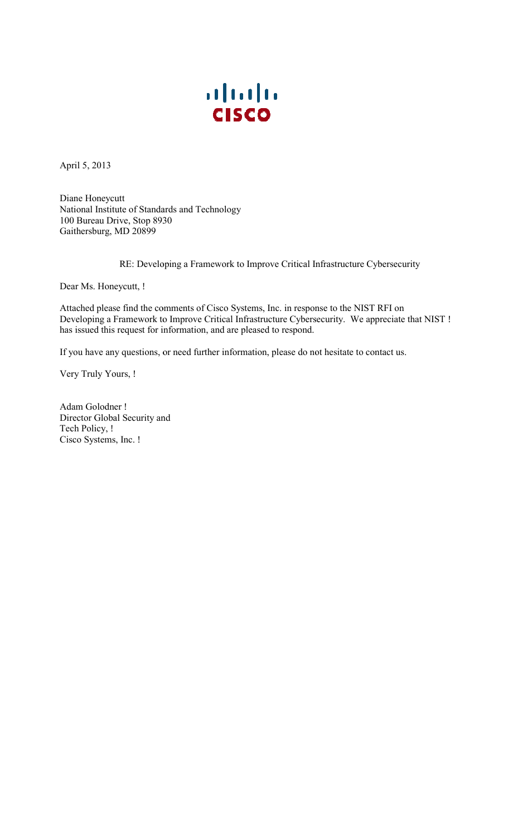

April 5, 2013

National Institute of Standards and Technology 100 Bureau Drive, Stop 8 8930 Diane Honeycutt Gaithersburg, MD 20899 April 5, 2013<br>
Diane Honeycutt<br>
National Institute of Standards a<br>
100 Bureau Drive, Stop 8930<br>
Gaithersburg, MD 20899<br>
RE: Developing<br>
Dear Ms. Honeycutt, !<br>
Attached please find the comme<br>
Developing a Framework to Imp<br>

RE: Developing a Framework to Improve Critical Infrastructure Cybersecurity

Dear Ms. Honeycutt, !

mments of Cisco Systems, Inc. in response to the NIST RFI on a Framework to Improve Critical Infrastructure Cybersecurity. We appreciate that NIST ! issued this request for information, and are pleased to respond. RE: Developing a Framework to Improve Critical Infrastructure<br>Dear Ms. Honeycutt, !<br>Attached please find the comments of Cisco Systems, Inc. in response to the NIS<br>Developing a Framework to Improve Critical Infrastructure Attached please find the comments of Cisco Systems, Inc. in response to the NIST RFI on

has issued this request for information, and are pleased to respond.<br>If you have any questions, or need further information, please do not hesitate to contact us.

Very Truly Yours, !

Director Global Security and Adam Golodner ! Tech Policy, ! Cisco Systems, Inc. !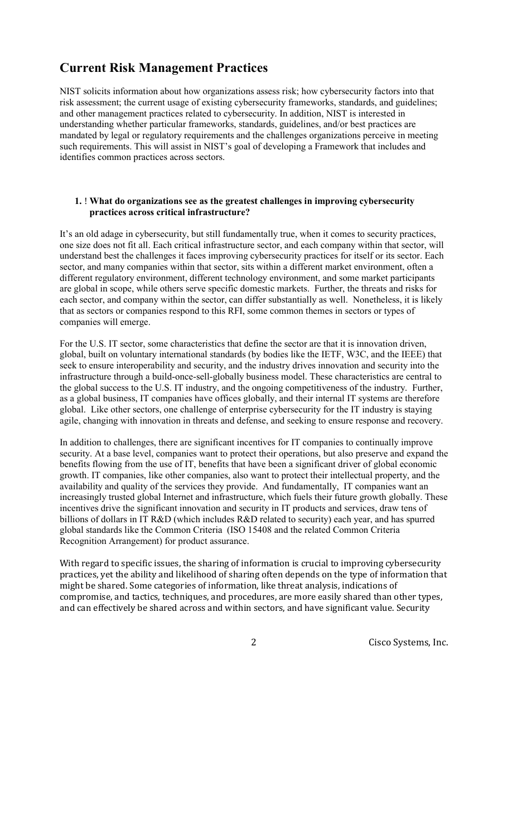## Current Risk Management Practices

 understanding whether particular frameworks, standards, guidelines, and/or best practices are NIST solicits information about how organizations assess risk; how cybersecurity factors into that risk assessment; the current usage of existing cybersecurity frameworks, standards, and guidelines; and other management practices related to cybersecurity. In addition, NIST is interested in mandated by legal or regulatory requirements and the challenges organizations perceive in meeting such requirements. This will assist in NIST's goal of developing a Framework that includes and identifies common practices across sectors.

## 1. ! What do organizations see as the greatest challenges in improving cybersecurity practices across critical infrastructure?

 It's an old adage in cybersecurity, but still fundamentally true, when it comes to security practices, understand best the challenges it faces improving cybersecurity practices for itself or its sector. Each different regulatory environment, different technology environment, and some market participants one size does not fit all. Each critical infrastructure sector, and each company within that sector, will sector, and many companies within that sector, sits within a different market environment, often a are global in scope, while others serve specific domestic markets. Further, the threats and risks for each sector, and company within the sector, can differ substantially as well. Nonetheless, it is likely that as sectors or companies respond to this RFI, some common themes in sectors or types of companies will emerge.

 For the U.S. IT sector, some characteristics that define the sector are that it is innovation driven, global, built on voluntary international standards (by bodies like the IETF, W3C, and the IEEE) that seek to ensure interoperability and security, and the industry drives innovation and security into the infrastructure through a build-once-sell-globally business model. These characteristics are central to the global success to the U.S. IT industry, and the ongoing competitiveness of the industry. Further, as a global business, IT companies have offices globally, and their internal IT systems are therefore global. Like other sectors, one challenge of enterprise cybersecurity for the IT industry is staying agile, changing with innovation in threats and defense, and seeking to ensure response and recovery.

 security. At a base level, companies want to protect their operations, but also preserve and expand the incentives drive the significant innovation and security in IT products and services, draw tens of In addition to challenges, there are significant incentives for IT companies to continually improve benefits flowing from the use of IT, benefits that have been a significant driver of global economic growth. IT companies, like other companies, also want to protect their intellectual property, and the availability and quality of the services they provide. And fundamentally, IT companies want an increasingly trusted global Internet and infrastructure, which fuels their future growth globally. These billions of dollars in IT R&D (which includes R&D related to security) each year, and has spurred global standards like the Common Criteria (ISO 15408 and the related Common Criteria Recognition Arrangement) for product assurance.

 With regard to specific issues, the sharing of information is crucial to improving cybersecurity practices, yet the ability and likelihood of sharing often depends on the type of information that might be shared. Some categories of information, like threat analysis, indications of compromise, and tactics, techniques, and procedures, are more easily shared than other types, and can effectively be shared across and within sectors, and have significant value. Security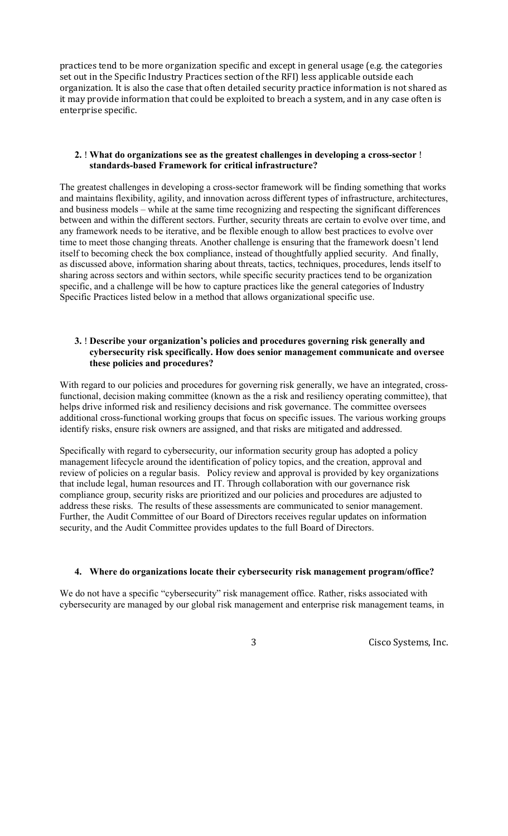practices tend to be more organization specific and except in general usage (e.g. the categories set out in the Specific Industry Practices section of the RFI) less applicable outside each organization. It is also the case that often detailed security practice information is not shared as it may provide information that could be exploited to breach a system, and in any case often is enterprise specific.

#### 2. ! What do organizations see as the greatest challenges in developing a cross-sector ! standards-based Framework for critical infrastructure?

 and business models – while at the same time recognizing and respecting the significant differences any framework needs to be iterative, and be flexible enough to allow best practices to evolve over specific, and a challenge will be how to capture practices like the general categories of Industry The greatest challenges in developing a cross-sector framework will be finding something that works and maintains flexibility, agility, and innovation across different types of infrastructure, architectures, between and within the different sectors. Further, security threats are certain to evolve over time, and time to meet those changing threats. Another challenge is ensuring that the framework doesn't lend itself to becoming check the box compliance, instead of thoughtfully applied security. And finally, as discussed above, information sharing about threats, tactics, techniques, procedures, lends itself to sharing across sectors and within sectors, while specific security practices tend to be organization Specific Practices listed below in a method that allows organizational specific use.

## 3. ! Describe your organization's policies and procedures governing risk generally and cybersecurity risk specifically. How does senior management communicate and oversee these policies and procedures?

With regard to our policies and procedures for governing risk generally, we have an integrated, crossfunctional, decision making committee (known as the a risk and resiliency operating committee), that helps drive informed risk and resiliency decisions and risk governance. The committee oversees additional cross-functional working groups that focus on specific issues. The various working groups identify risks, ensure risk owners are assigned, and that risks are mitigated and addressed.

 Specifically with regard to cybersecurity, our information security group has adopted a policy review of policies on a regular basis. Policy review and approval is provided by key organizations that include legal, human resources and IT. Through collaboration with our governance risk compliance group, security risks are prioritized and our policies and procedures are adjusted to management lifecycle around the identification of policy topics, and the creation, approval and address these risks. The results of these assessments are communicated to senior management. Further, the Audit Committee of our Board of Directors receives regular updates on information security, and the Audit Committee provides updates to the full Board of Directors.

## 4. Where do organizations locate their cybersecurity risk management program/office?

We do not have a specific "cybersecurity" risk management office. Rather, risks associated with cybersecurity are managed by our global risk management and enterprise risk management teams, in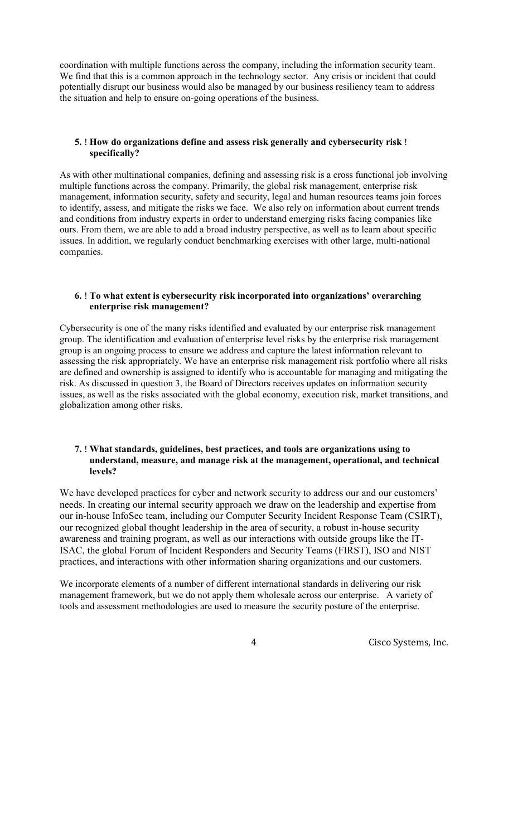coordination with multiple functions across the company, including the information security team. We find that this is a common approach in the technology sector. Any crisis or incident that could potentially disrupt our business would also be managed by our business resiliency team to address the situation and help to ensure on-going operations of the business.

## 5. ! How do organizations define and assess risk generally and cybersecurity risk ! specifically?

 management, information security, safety and security, legal and human resources teams join forces ours. From them, we are able to add a broad industry perspective, as well as to learn about specific As with other multinational companies, defining and assessing risk is a cross functional job involving multiple functions across the company. Primarily, the global risk management, enterprise risk to identify, assess, and mitigate the risks we face. We also rely on information about current trends and conditions from industry experts in order to understand emerging risks facing companies like issues. In addition, we regularly conduct benchmarking exercises with other large, multi-national companies.

## 6. ! To what extent is cybersecurity risk incorporated into organizations' overarching enterprise risk management?

 assessing the risk appropriately. We have an enterprise risk management risk portfolio where all risks issues, as well as the risks associated with the global economy, execution risk, market transitions, and Cybersecurity is one of the many risks identified and evaluated by our enterprise risk management group. The identification and evaluation of enterprise level risks by the enterprise risk management group is an ongoing process to ensure we address and capture the latest information relevant to are defined and ownership is assigned to identify who is accountable for managing and mitigating the risk. As discussed in question 3, the Board of Directors receives updates on information security globalization among other risks.

## 7. ! What standards, guidelines, best practices, and tools are organizations using to understand, measure, and manage risk at the management, operational, and technical levels?

 ISAC, the global Forum of Incident Responders and Security Teams (FIRST), ISO and NIST We have developed practices for cyber and network security to address our and our customers' needs. In creating our internal security approach we draw on the leadership and expertise from our in-house InfoSec team, including our Computer Security Incident Response Team (CSIRT), our recognized global thought leadership in the area of security, a robust in-house security awareness and training program, as well as our interactions with outside groups like the ITpractices, and interactions with other information sharing organizations and our customers.

We incorporate elements of a number of different international standards in delivering our risk management framework, but we do not apply them wholesale across our enterprise. A variety of tools and assessment methodologies are used to measure the security posture of the enterprise.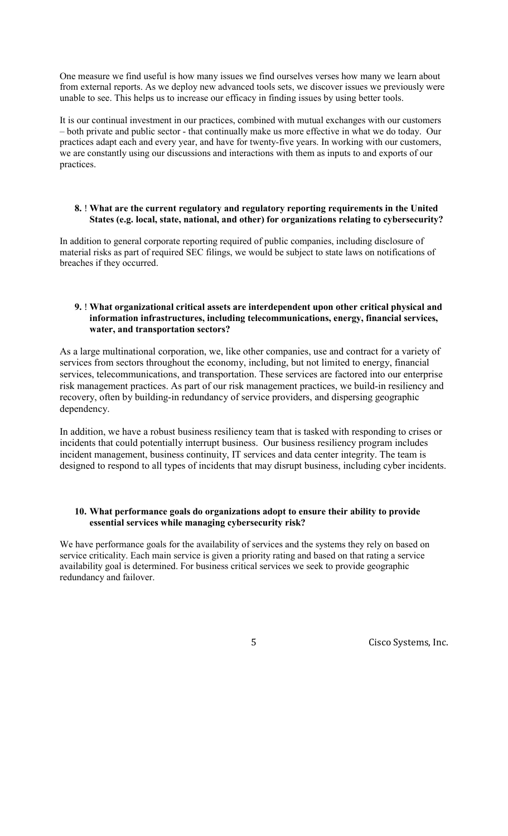unable to see. This helps us to increase our efficacy in finding issues by using better tools. One measure we find useful is how many issues we find ourselves verses how many we learn about from external reports. As we deploy new advanced tools sets, we discover issues we previously were

 we are constantly using our discussions and interactions with them as inputs to and exports of our It is our continual investment in our practices, combined with mutual exchanges with our customers – both private and public sector - that continually make us more effective in what we do today. Our practices adapt each and every year, and have for twenty-five years. In working with our customers, practices.

## 8. ! What are the current regulatory and regulatory reporting requirements in the United States (e.g. local, state, national, and other) for organizations relating to cybersecurity?

 breaches if they occurred. In addition to general corporate reporting required of public companies, including disclosure of material risks as part of required SEC filings, we would be subject to state laws on notifications of

## 9. ! What organizational critical assets are interdependent upon other critical physical and information infrastructures, including telecommunications, energy, financial services, water, and transportation sectors?

 As a large multinational corporation, we, like other companies, use and contract for a variety of recovery, often by building-in redundancy of service providers, and dispersing geographic services from sectors throughout the economy, including, but not limited to energy, financial services, telecommunications, and transportation. These services are factored into our enterprise risk management practices. As part of our risk management practices, we build-in resiliency and dependency.

 In addition, we have a robust business resiliency team that is tasked with responding to crises or incidents that could potentially interrupt business. Our business resiliency program includes incident management, business continuity, IT services and data center integrity. The team is designed to respond to all types of incidents that may disrupt business, including cyber incidents.

## essential services while managing cybersecurity risk? 10. What performance goals do organizations adopt to ensure their ability to provide

We have performance goals for the availability of services and the systems they rely on based on service criticality. Each main service is given a priority rating and based on that rating a service availability goal is determined. For business critical services we seek to provide geographic redundancy and failover.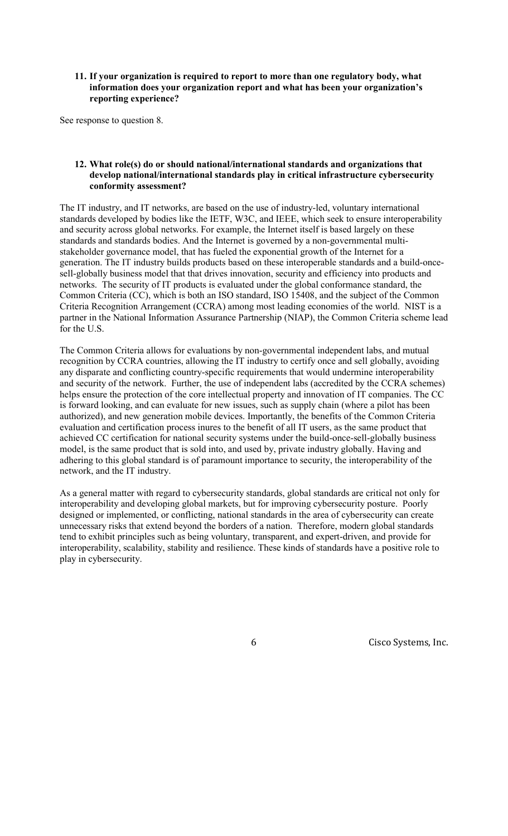## 11. If your organization is required to report to more than one regulatory body, what information does your organization report and what has been your organization's reporting experience?

See response to question 8.

## 12. What role(s) do or should national/international standards and organizations that develop national/international standards play in critical infrastructure cybersecurity conformity assessment?

 generation. The IT industry builds products based on these interoperable standards and a build-once-The IT industry, and IT networks, are based on the use of industry-led, voluntary international standards developed by bodies like the IETF, W3C, and IEEE, which seek to ensure interoperability and security across global networks. For example, the Internet itself is based largely on these standards and standards bodies. And the Internet is governed by a non-governmental multistakeholder governance model, that has fueled the exponential growth of the Internet for a sell-globally business model that that drives innovation, security and efficiency into products and networks. The security of IT products is evaluated under the global conformance standard, the Common Criteria (CC), which is both an ISO standard, ISO 15408, and the subject of the Common Criteria Recognition Arrangement (CCRA) among most leading economies of the world. NIST is a partner in the National Information Assurance Partnership (NIAP), the Common Criteria scheme lead for the U.S.

 helps ensure the protection of the core intellectual property and innovation of IT companies. The CC is forward looking, and can evaluate for new issues, such as supply chain (where a pilot has been evaluation and certification process inures to the benefit of all IT users, as the same product that achieved CC certification for national security systems under the build-once-sell-globally business adhering to this global standard is of paramount importance to security, the interoperability of the The Common Criteria allows for evaluations by non-governmental independent labs, and mutual recognition by CCRA countries, allowing the IT industry to certify once and sell globally, avoiding any disparate and conflicting country-specific requirements that would undermine interoperability and security of the network. Further, the use of independent labs (accredited by the CCRA schemes) authorized), and new generation mobile devices. Importantly, the benefits of the Common Criteria model, is the same product that is sold into, and used by, private industry globally. Having and network, and the IT industry.

 As a general matter with regard to cybersecurity standards, global standards are critical not only for interoperability, scalability, stability and resilience. These kinds of standards have a positive role to interoperability and developing global markets, but for improving cybersecurity posture. Poorly designed or implemented, or conflicting, national standards in the area of cybersecurity can create unnecessary risks that extend beyond the borders of a nation. Therefore, modern global standards tend to exhibit principles such as being voluntary, transparent, and expert-driven, and provide for play in cybersecurity.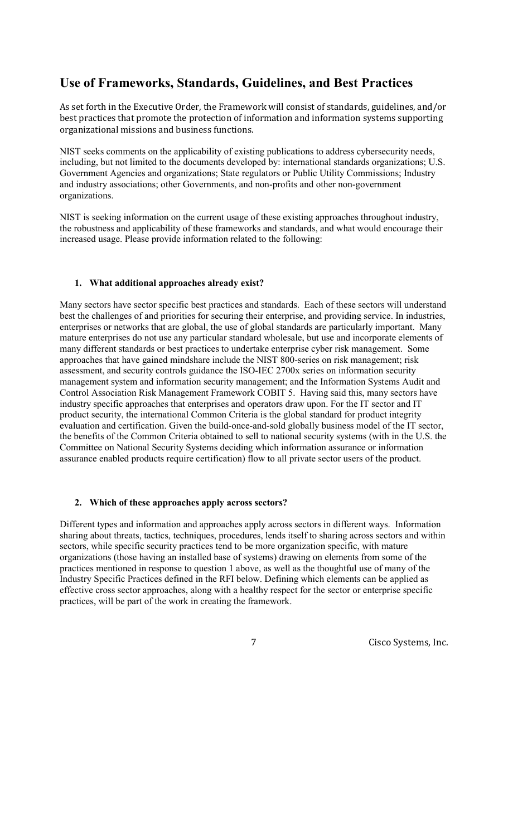# Use of Frameworks, Standards, Guidelines, and Best Practices

 As set forth in the Executive Order, the Framework will consist of standards, guidelines, and/or best practices that promote the protection of information and information systems supporting organizational missions and business functions.

NIST seeks comments on the applicability of existing publications to address cybersecurity needs, including, but not limited to the documents developed by: international standards organizations; U.S. Government Agencies and organizations; State regulators or Public Utility Commissions; Industry and industry associations; other Governments, and non-profits and other non-government organizations.

 increased usage. Please provide information related to the following: NIST is seeking information on the current usage of these existing approaches throughout industry, the robustness and applicability of these frameworks and standards, and what would encourage their

## 1. What additional approaches already exist?

 Many sectors have sector specific best practices and standards. Each of these sectors will understand enterprises or networks that are global, the use of global standards are particularly important. Many mature enterprises do not use any particular standard wholesale, but use and incorporate elements of many different standards or best practices to undertake enterprise cyber risk management. Some approaches that have gained mindshare include the NIST 800-series on risk management; risk product security, the international Common Criteria is the global standard for product integrity assurance enabled products require certification) flow to all private sector users of the product. best the challenges of and priorities for securing their enterprise, and providing service. In industries, assessment, and security controls guidance the ISO-IEC 2700x series on information security management system and information security management; and the Information Systems Audit and Control Association Risk Management Framework COBIT 5. Having said this, many sectors have industry specific approaches that enterprises and operators draw upon. For the IT sector and IT evaluation and certification. Given the build-once-and-sold globally business model of the IT sector, the benefits of the Common Criteria obtained to sell to national security systems (with in the U.S. the Committee on National Security Systems deciding which information assurance or information

## 2. Which of these approaches apply across sectors?

 practices mentioned in response to question 1 above, as well as the thoughtful use of many of the practices, will be part of the work in creating the framework. Different types and information and approaches apply across sectors in different ways. Information sharing about threats, tactics, techniques, procedures, lends itself to sharing across sectors and within sectors, while specific security practices tend to be more organization specific, with mature organizations (those having an installed base of systems) drawing on elements from some of the Industry Specific Practices defined in the RFI below. Defining which elements can be applied as effective cross sector approaches, along with a healthy respect for the sector or enterprise specific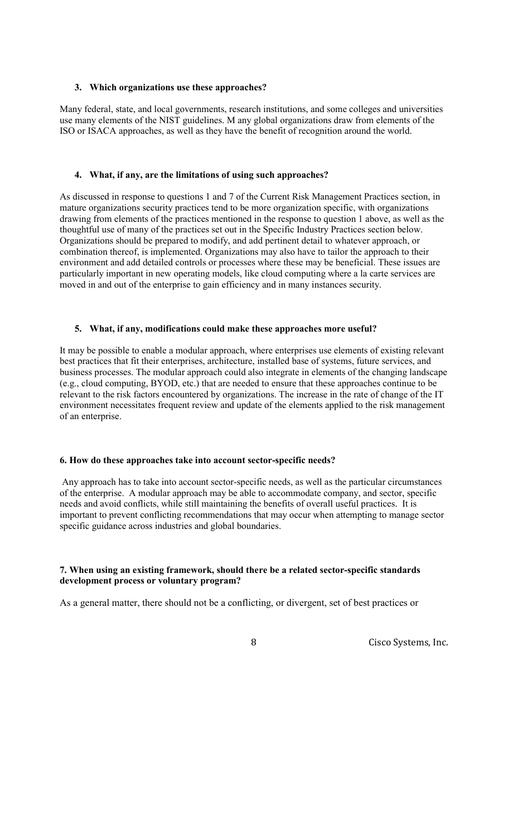#### 3. Which organizations use these approaches?

 use many elements of the NIST guidelines. M any global organizations draw from elements of the Many federal, state, and local governments, research institutions, and some colleges and universities ISO or ISACA approaches, as well as they have the benefit of recognition around the world.

#### 4. What, if any, are the limitations of using such approaches?

 environment and add detailed controls or processes where these may be beneficial. These issues are As discussed in response to questions 1 and 7 of the Current Risk Management Practices section, in mature organizations security practices tend to be more organization specific, with organizations drawing from elements of the practices mentioned in the response to question 1 above, as well as the thoughtful use of many of the practices set out in the Specific Industry Practices section below. Organizations should be prepared to modify, and add pertinent detail to whatever approach, or combination thereof, is implemented. Organizations may also have to tailor the approach to their particularly important in new operating models, like cloud computing where a la carte services are moved in and out of the enterprise to gain efficiency and in many instances security.

#### 5. What, if any, modifications could make these approaches more useful?

 It may be possible to enable a modular approach, where enterprises use elements of existing relevant best practices that fit their enterprises, architecture, installed base of systems, future services, and business processes. The modular approach could also integrate in elements of the changing landscape (e.g., cloud computing, BYOD, etc.) that are needed to ensure that these approaches continue to be relevant to the risk factors encountered by organizations. The increase in the rate of change of the IT environment necessitates frequent review and update of the elements applied to the risk management of an enterprise.

#### 6. How do these approaches take into account sector-specific needs?

 Any approach has to take into account sector-specific needs, as well as the particular circumstances specific guidance across industries and global boundaries. of the enterprise. A modular approach may be able to accommodate company, and sector, specific needs and avoid conflicts, while still maintaining the benefits of overall useful practices. It is important to prevent conflicting recommendations that may occur when attempting to manage sector

## 7. When using an existing framework, should there be a related sector-specific standards development process or voluntary program?

As a general matter, there should not be a conflicting, or divergent, set of best practices or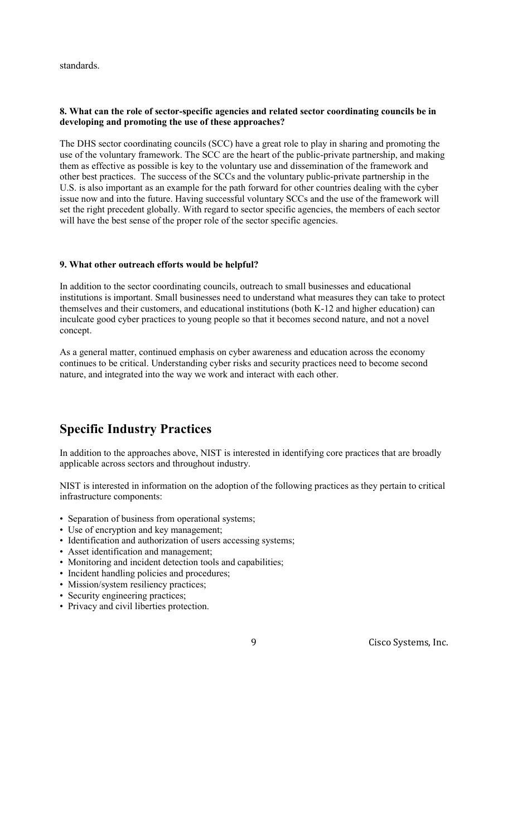standards.

## 8. What can the role of sector-specific agencies and related sector coordinating councils be in developing and promoting the use of these approaches?

 other best practices. The success of the SCCs and the voluntary public-private partnership in the U.S. is also important as an example for the path forward for other countries dealing with the cyber The DHS sector coordinating councils (SCC) have a great role to play in sharing and promoting the use of the voluntary framework. The SCC are the heart of the public-private partnership, and making them as effective as possible is key to the voluntary use and dissemination of the framework and issue now and into the future. Having successful voluntary SCCs and the use of the framework will set the right precedent globally. With regard to sector specific agencies, the members of each sector will have the best sense of the proper role of the sector specific agencies.

## 9. What other outreach efforts would be helpful?

 institutions is important. Small businesses need to understand what measures they can take to protect In addition to the sector coordinating councils, outreach to small businesses and educational themselves and their customers, and educational institutions (both K-12 and higher education) can inculcate good cyber practices to young people so that it becomes second nature, and not a novel concept.

As a general matter, continued emphasis on cyber awareness and education across the economy continues to be critical. Understanding cyber risks and security practices need to become second nature, and integrated into the way we work and interact with each other.

# Specific Industry Practices

 In addition to the approaches above, NIST is interested in identifying core practices that are broadly applicable across sectors and throughout industry.

 NIST is interested in information on the adoption of the following practices as they pertain to critical infrastructure components:

- Separation of business from operational systems;
- Use of encryption and key management;
- Identification and authorization of users accessing systems; • Separation of business from operational systems;<br>
• Use of encryption and key management;<br>
• Identification and authorization of users accessing systems;<br>
• Asset identification and management;<br>
• Monitoring and incident
- Asset identification and management;
- 
- Incident handling policies and procedures;
- Mission/system resiliency practices;
- Security engineering practices;
- Privacy and civil liberties protection.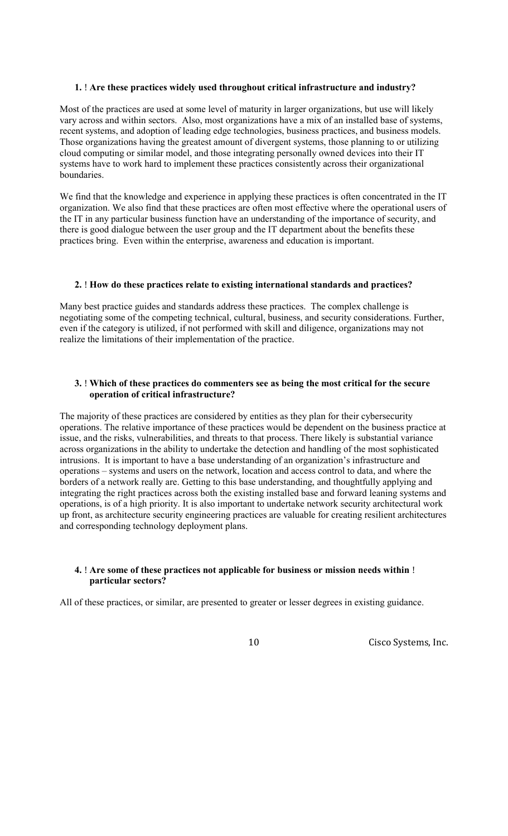## 1. ! Are these practices widely used throughout critical infrastructure and industry?

Most of the practices are used at some level of maturity in larger organizations, but use will likely vary across and within sectors. Also, most organizations have a mix of an installed base of systems, recent systems, and adoption of leading edge technologies, business practices, and business models. Those organizations having the greatest amount of divergent systems, those planning to or utilizing cloud computing or similar model, and those integrating personally owned devices into their IT systems have to work hard to implement these practices consistently across their organizational boundaries.

 organization. We also find that these practices are often most effective where the operational users of the IT in any particular business function have an understanding of the importance of security, and there is good dialogue between the user group and the IT department about the benefits these practices bring. Even within the enterprise, awareness and education is important. We find that the knowledge and experience in applying these practices is often concentrated in the IT

## 2. ! How do these practices relate to existing international standards and practices?

 Many best practice guides and standards address these practices. The complex challenge is realize the limitations of their implementation of the practice. negotiating some of the competing technical, cultural, business, and security considerations. Further, even if the category is utilized, if not performed with skill and diligence, organizations may not

#### 3. ! Which of these practices do commenters see as being the most critical for the secure operation of critical infrastructure?

 operations. The relative importance of these practices would be dependent on the business practice at intrusions. It is important to have a base understanding of an organization's infrastructure and borders of a network really are. Getting to this base understanding, and thoughtfully applying and The majority of these practices are considered by entities as they plan for their cybersecurity issue, and the risks, vulnerabilities, and threats to that process. There likely is substantial variance across organizations in the ability to undertake the detection and handling of the most sophisticated operations – systems and users on the network, location and access control to data, and where the integrating the right practices across both the existing installed base and forward leaning systems and operations, is of a high priority. It is also important to undertake network security architectural work up front, as architecture security engineering practices are valuable for creating resilient architectures and corresponding technology deployment plans.

#### 4. ! Are some of these practices not applicable for business or mission needs within ! particular sectors?

All of these practices, or similar, are presented to greater or lesser degrees in existing guidance.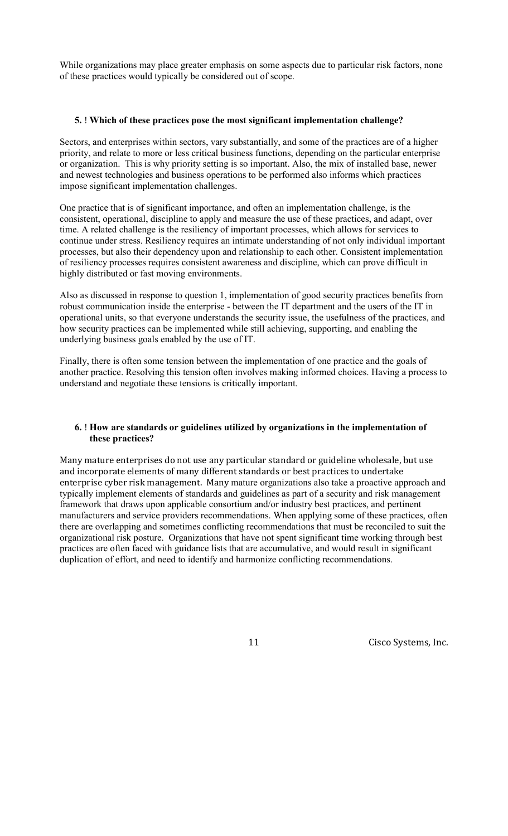While organizations may place greater emphasis on some aspects due to particular risk factors, none of these practices would typically be considered out of scope.

#### 5. ! Which of these practices pose the most significant implementation challenge?

 Sectors, and enterprises within sectors, vary substantially, and some of the practices are of a higher priority, and relate to more or less critical business functions, depending on the particular enterprise or organization. This is why priority setting is so important. Also, the mix of installed base, newer and newest technologies and business operations to be performed also informs which practices impose significant implementation challenges.

 One practice that is of significant importance, and often an implementation challenge, is the processes, but also their dependency upon and relationship to each other. Consistent implementation consistent, operational, discipline to apply and measure the use of these practices, and adapt, over time. A related challenge is the resiliency of important processes, which allows for services to continue under stress. Resiliency requires an intimate understanding of not only individual important of resiliency processes requires consistent awareness and discipline, which can prove difficult in highly distributed or fast moving environments.

 Also as discussed in response to question 1, implementation of good security practices benefits from how security practices can be implemented while still achieving, supporting, and enabling the underlying business goals enabled by the use of IT. robust communication inside the enterprise - between the IT department and the users of the IT in operational units, so that everyone understands the security issue, the usefulness of the practices, and

Finally, there is often some tension between the implementation of one practice and the goals of another practice. Resolving this tension often involves making informed choices. Having a process to understand and negotiate these tensions is critically important.

## 6. ! How are standards or guidelines utilized by organizations in the implementation of these practices?

 Many mature enterprises do not use any particular standard or guideline wholesale, but use and incorporate elements of many different standards or best practices to undertake enterprise cyber risk management. Many mature organizations also take a proactive approach and framework that draws upon applicable consortium and/or industry best practices, and pertinent typically implement elements of standards and guidelines as part of a security and risk management manufacturers and service providers recommendations. When applying some of these practices, often there are overlapping and sometimes conflicting recommendations that must be reconciled to suit the organizational risk posture. Organizations that have not spent significant time working through best practices are often faced with guidance lists that are accumulative, and would result in significant duplication of effort, and need to identify and harmonize conflicting recommendations.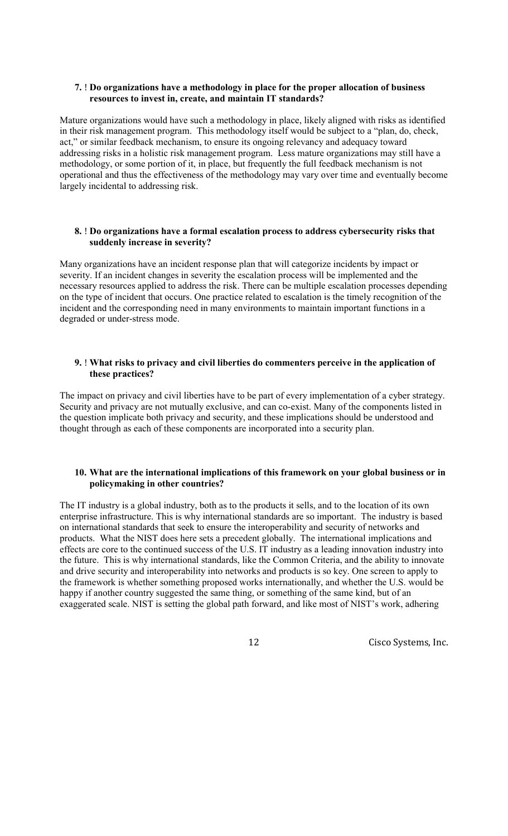## 7. ! Do organizations have a methodology in place for the proper allocation of business resources to invest in, create, and maintain IT standards?

 addressing risks in a holistic risk management program. Less mature organizations may still have a operational and thus the effectiveness of the methodology may vary over time and eventually become Mature organizations would have such a methodology in place, likely aligned with risks as identified in their risk management program. This methodology itself would be subject to a "plan, do, check, act," or similar feedback mechanism, to ensure its ongoing relevancy and adequacy toward methodology, or some portion of it, in place, but frequently the full feedback mechanism is not largely incidental to addressing risk.

## 8. ! Do organizations have a formal escalation process to address cybersecurity risks that suddenly increase in severity?

Many organizations have an incident response plan that will categorize incidents by impact or severity. If an incident changes in severity the escalation process will be implemented and the necessary resources applied to address the risk. There can be multiple escalation processes depending on the type of incident that occurs. One practice related to escalation is the timely recognition of the incident and the corresponding need in many environments to maintain important functions in a degraded or under-stress mode.

## 9. ! What risks to privacy and civil liberties do commenters perceive in the application of these practices?

 thought through as each of these components are incorporated into a security plan. The impact on privacy and civil liberties have to be part of every implementation of a cyber strategy. Security and privacy are not mutually exclusive, and can co-exist. Many of the components listed in the question implicate both privacy and security, and these implications should be understood and

#### 10. What are the international implications of this framework on your global business or in policymaking in other countries?

 on international standards that seek to ensure the interoperability and security of networks and products. What the NIST does here sets a precedent globally. The international implications and the framework is whether something proposed works internationally, and whether the U.S. would be The IT industry is a global industry, both as to the products it sells, and to the location of its own enterprise infrastructure. This is why international standards are so important. The industry is based effects are core to the continued success of the U.S. IT industry as a leading innovation industry into the future. This is why international standards, like the Common Criteria, and the ability to innovate and drive security and interoperability into networks and products is so key. One screen to apply to happy if another country suggested the same thing, or something of the same kind, but of an exaggerated scale. NIST is setting the global path forward, and like most of NIST's work, adhering